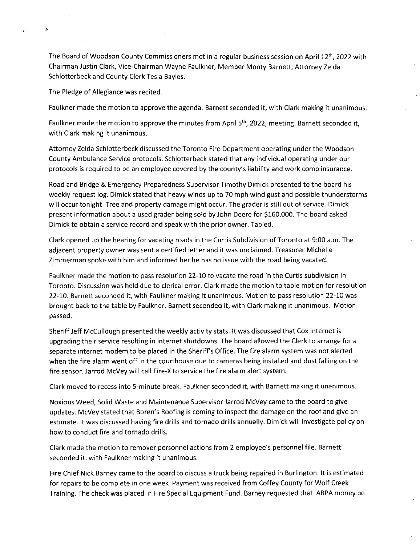The Board of Woodson County Commissioners met in a regular business session on April  $12<sup>th</sup>$ , 2022 with Chairman Justin Clark, Vice-Chairman Wayne Faulkner, Member Monty Barnett, Attorney Zelda Schlotterbeck and County Clerk Tesla Bayles.

The Pledge of Allegiance was recited.

z

Faulkner made the motion to approve the agenda. Barnett seconded it, with Clark making it unanimous.

Faulkner made the motion to approve the minutes from April 5<sup>th</sup>, 2022, meeting. Barnett seconded it, with Clark making it unanimous.

Attorney Zelda Schlotterbeck discussed the Toronto Fire Department operating under the Woodson County Ambulance Service protocols. Schlotterbeck stated that any individual operating under our protocols is required to be an employee covered by the county's liability and work comp insurance.

Road and Bridge & Emergency Preparedness Supervisor Timothy Dimick presented to the board his weekly request log. Dimick stated that heavy winds up to 70 mph wind gust and possible thunderstorms will occur tonight. Tree and property damage might occur. The grader is still out of service. Dimick present information about a used grader being sold by John Deere for \$160,000. The board asked Dimick to obtain a service record and speak with the prior owner. Tabled.

Clark opened up the hearing for vacating roads in the Curtis Subdivision of Toronto at 9:00 a.m. The adjacent property owner was sent a certified letter and it was unclaimed. Treasurer Michelle Zimmerman spoke with him and informed her he has no issue with the road being vacated.

Faulkner made the motion to pass resolution 22-10 to vacate the road in the Curtis subdivision in Toronto. Discussion was held due to clerical error. Clark made the motion to table motion for resolution 22-10. Barnett seconded it, with Faulkner making it unanimous. Motion to pass resolution 22-10 was brought back to the table by Faulkner. Barnett seconded it, with Clark making it unanimous. Motion passed.

Sheriff Jeff McCullough presented the weekly activity stats. It was discussed that Cox internet is upgrading their service resulting in internet shutdowns. The board allowed the Clerk to arrange for a separate internet modem to be placed in the Sheriff's Office. The fire alarm system was not alerted when the fire alarm went off in the courthouse due to cameras being installed and dust falling on the fire sensor. Jarrod McVey will call Fire-X to service the fire alarm alert system.

Clark moved to recess into 5-minute break. Faulkner seconded it, with Barnett making it unanimous.

Noxious Weed, Solid Waste and Maintenance Supervisor Jarrod McVey came to the board to give updates. McVey stated that Boren's Roofing is coming to inspect the damage on the roof and give an estimate. It was discussed having fire drills and tornado drills annually. Dimick will investigate policy on how to conduct fire and tornado drills.

Clark made the motion to remover personnel actions from 2 employee's personnel file. Barnett seconded it, with Faulkner making it unanimous.

Fire Chief Nick Barney came to the board to discuss a truck being repaired in Burlington. It is estimated for repairs to be complete in one week. Payment was received from Coffey County for Wolf Creek Training. The check was placed in Fire Special Equipment Fund. Barney requested that ARPA money be